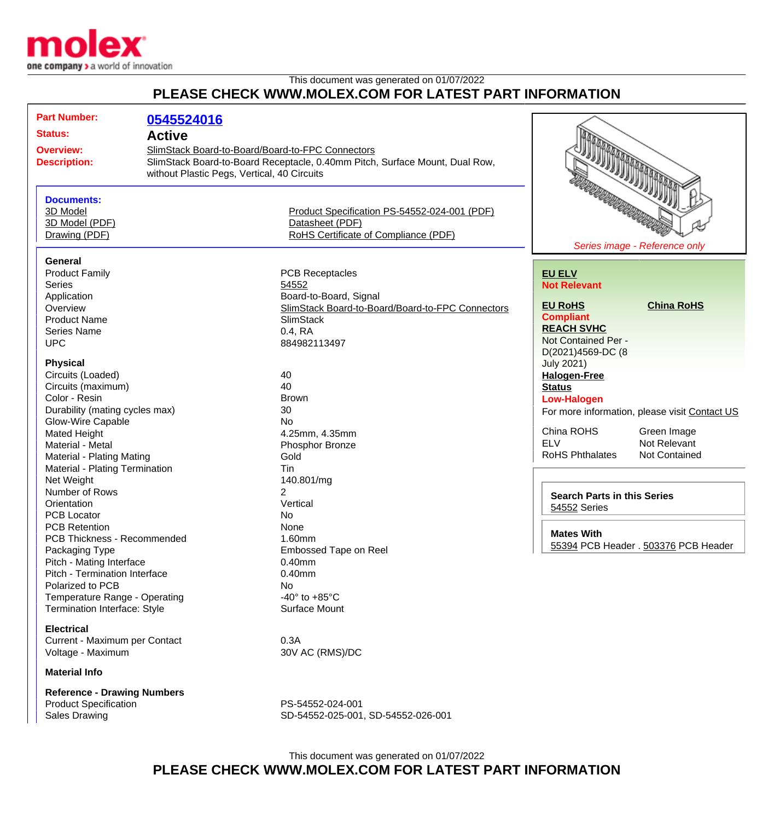

## This document was generated on 01/07/2022 **PLEASE CHECK WWW.MOLEX.COM FOR LATEST PART INFORMATION**

| <b>Part Number:</b><br><b>Status:</b><br><b>Overview:</b><br><b>Description:</b>                                                                                                                                                                                                                                                                                                                                                                                                                                                                                                                                                                                                                                                                                                                         | 0545524016<br><b>Active</b><br>SlimStack Board-to-Board/Board-to-FPC Connectors<br>without Plastic Pegs, Vertical, 40 Circuits | SlimStack Board-to-Board Receptacle, 0.40mm Pitch, Surface Mount, Dual Row,                                                                                                                                                                                                                                                                                                                                                                                                                   |                                                                                                                                                                                                                                                                                                                                                                                                                                                                                                                               |
|----------------------------------------------------------------------------------------------------------------------------------------------------------------------------------------------------------------------------------------------------------------------------------------------------------------------------------------------------------------------------------------------------------------------------------------------------------------------------------------------------------------------------------------------------------------------------------------------------------------------------------------------------------------------------------------------------------------------------------------------------------------------------------------------------------|--------------------------------------------------------------------------------------------------------------------------------|-----------------------------------------------------------------------------------------------------------------------------------------------------------------------------------------------------------------------------------------------------------------------------------------------------------------------------------------------------------------------------------------------------------------------------------------------------------------------------------------------|-------------------------------------------------------------------------------------------------------------------------------------------------------------------------------------------------------------------------------------------------------------------------------------------------------------------------------------------------------------------------------------------------------------------------------------------------------------------------------------------------------------------------------|
| <b>Documents:</b><br>3D Model<br>3D Model (PDF)<br>Drawing (PDF)                                                                                                                                                                                                                                                                                                                                                                                                                                                                                                                                                                                                                                                                                                                                         |                                                                                                                                | Product Specification PS-54552-024-001 (PDF)<br>Datasheet (PDF)<br>RoHS Certificate of Compliance (PDF)                                                                                                                                                                                                                                                                                                                                                                                       | <b>TIME DISCOVERING</b><br>Series image - Reference only                                                                                                                                                                                                                                                                                                                                                                                                                                                                      |
| <b>General</b><br><b>Product Family</b><br><b>Series</b><br>Application<br>Overview<br><b>Product Name</b><br><b>Series Name</b><br><b>UPC</b><br><b>Physical</b><br>Circuits (Loaded)<br>Circuits (maximum)<br>Color - Resin<br>Durability (mating cycles max)<br><b>Glow-Wire Capable</b><br>Mated Height<br>Material - Metal<br>Material - Plating Mating<br>Material - Plating Termination<br>Net Weight<br>Number of Rows<br>Orientation<br><b>PCB Locator</b><br><b>PCB Retention</b><br>PCB Thickness - Recommended<br>Packaging Type<br>Pitch - Mating Interface<br>Pitch - Termination Interface<br>Polarized to PCB<br>Temperature Range - Operating<br><b>Termination Interface: Style</b><br><b>Electrical</b><br>Current - Maximum per Contact<br>Voltage - Maximum<br><b>Material Info</b> |                                                                                                                                | <b>PCB Receptacles</b><br>54552<br>Board-to-Board, Signal<br>SlimStack Board-to-Board/Board-to-FPC Connectors<br><b>SlimStack</b><br>$0.4$ , RA<br>884982113497<br>40<br>40<br><b>Brown</b><br>30<br><b>No</b><br>4.25mm, 4.35mm<br>Phosphor Bronze<br>Gold<br>Tin<br>140.801/mg<br>$\overline{2}$<br>Vertical<br><b>No</b><br>None<br>1.60mm<br><b>Embossed Tape on Reel</b><br>$0.40$ mm<br>$0.40$ mm<br>No<br>-40 $\degree$ to +85 $\degree$ C<br>Surface Mount<br>0.3A<br>30V AC (RMS)/DC | <b>EU ELV</b><br><b>Not Relevant</b><br><b>EU RoHS</b><br><b>China RoHS</b><br><b>Compliant</b><br><b>REACH SVHC</b><br>Not Contained Per -<br>D(2021)4569-DC (8<br><b>July 2021)</b><br><b>Halogen-Free</b><br><b>Status</b><br><b>Low-Halogen</b><br>For more information, please visit Contact US<br>China ROHS<br>Green Image<br><b>ELV</b><br>Not Relevant<br><b>RoHS Phthalates</b><br>Not Contained<br><b>Search Parts in this Series</b><br>54552 Series<br><b>Mates With</b><br>55394 PCB Header . 503376 PCB Header |
| <b>Reference - Drawing Numbers</b><br><b>Product Specification</b>                                                                                                                                                                                                                                                                                                                                                                                                                                                                                                                                                                                                                                                                                                                                       |                                                                                                                                | PS-54552-024-001                                                                                                                                                                                                                                                                                                                                                                                                                                                                              |                                                                                                                                                                                                                                                                                                                                                                                                                                                                                                                               |

Sales Drawing Sales Drawing SD-54552-025-001, SD-54552-026-001